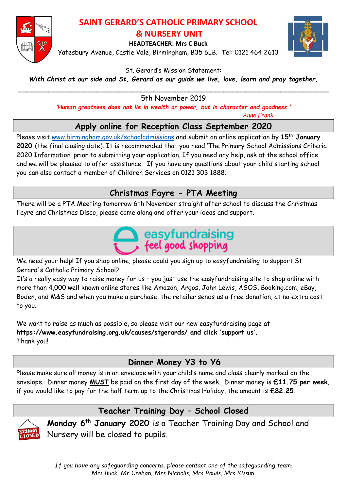

#### **SAINT GERARD'S CATHOLIC PRIMARY SCHOOL & NURSERY UNIT**

**HEADTEACHER: Mrs C Buck**

Yatesbury Avenue, Castle Vale, Birmingham, B35 6LB. Tel: 0121 464 2613



#### St. Gerard's Mission Statement:

*With Christ at our side and St. Gerard as our guide we live, love, learn and pray together.*

\_\_\_\_\_\_\_\_\_\_\_\_\_\_\_\_\_\_\_\_\_\_\_\_\_\_\_\_\_\_\_\_\_\_\_\_\_\_\_\_\_\_\_\_\_\_\_\_\_\_\_\_\_\_\_\_\_\_\_\_\_\_\_\_\_\_\_\_\_\_\_ 5th November 2019

*'Human greatness does not lie in wealth or power, but in character and goodness.'*

 *Anne Frank*

# **Apply online for Reception Class September 2020**

Please visit [www.birmingham.gov.uk/schooladmissions](http://www.birmingham.gov.uk/schooladmissions) and submit an online application by **15th January 2020** (the final closing date). It is recommended that you read 'The Primary School Admissions Criteria 2020 Information' prior to submitting your application. If you need any help, ask at the school office and we will be pleased to offer assistance. If you have any questions about your child starting school you can also contact a member of Children Services on 0121 303 1888.

# **Christmas Fayre - PTA Meeting**

There will be a PTA Meeting tomorrow 6th November straight after school to discuss the Christmas Fayre and Christmas Disco, please come along and offer your ideas and support.



We need your help! If you shop online, please could you sign up to easyfundraising to support St Gerard's Catholic Primary School?

It's a really easy way to raise money for us – you just use the easyfundraising site to shop online with more than 4,000 well known online stores like Amazon, Argos, John Lewis, ASOS, Booking.com, eBay, Boden, and M&S and when you make a purchase, the retailer sends us a free donation, at no extra cost to you.

We want to raise as much as possible, so please visit our new easyfundraising page at **https://www.easyfundraising.org.uk/causes/stgerards/ and click 'support us'.** Thank you!

# **Dinner Money Y3 to Y6**

Please make sure all money is in an envelope with your child's name and class clearly marked on the envelope. Dinner money **MUST** be paid on the first day of the week. Dinner money is **£11.75 per week**, if you would like to pay for the half term up to the Christmas Holiday, the amount is **£82.25.**



# **Teacher Training Day – School Closed**

**Monday 6th January 2020** is a Teacher Training Day and School and Nursery will be closed to pupils.